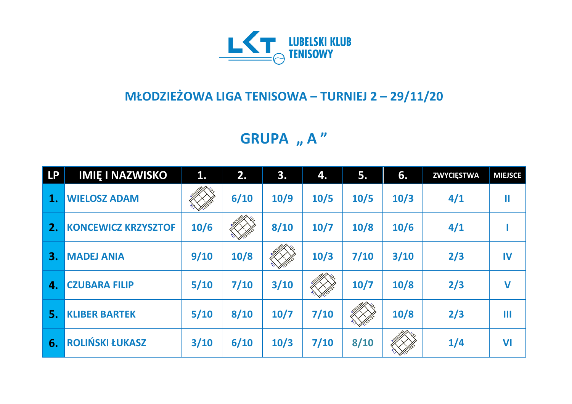

## **MŁODZIEŻOWA LIGA TENISOWA – TURNIEJ 2 – 29/11/20**

**GRUPA** "A"

| <b>LP</b> | <b>IMIĘ I NAZWISKO</b>     | 1.     | 2.     | 3.     | 4.   | 5.     | 6.   | <b>ZWYCIĘSTWA</b> | <b>MIEJSCE</b> |
|-----------|----------------------------|--------|--------|--------|------|--------|------|-------------------|----------------|
| 1.        | <b>WIELOSZ ADAM</b>        |        | 6/10   | 10/9   | 10/5 | 10/5   | 10/3 | 4/1               | Ш              |
| 2.        | <b>KONCEWICZ KRZYSZTOF</b> | 10/6   |        | 8/10   | 10/7 | 10/8   | 10/6 | 4/1               |                |
| 3.        | <b>MADEJ ANIA</b>          | 9/10   | 10/8   |        | 10/3 | 7/10   | 3/10 | 2/3               | IV             |
| 4.        | <b>CZUBARA FILIP</b>       | $5/10$ | 7/10   | 3/10   |      | $10/7$ | 10/8 | 2/3               | $\mathbf V$    |
| 5.        | <b>KLIBER BARTEK</b>       | $5/10$ | $8/10$ | $10/7$ | 7/10 |        | 10/8 | 2/3               | Ш              |
| 6.        | <b>ROLIŃSKI ŁUKASZ</b>     | 3/10   | 6/10   | 10/3   | 7/10 | 8/10   |      | 1/4               | VI             |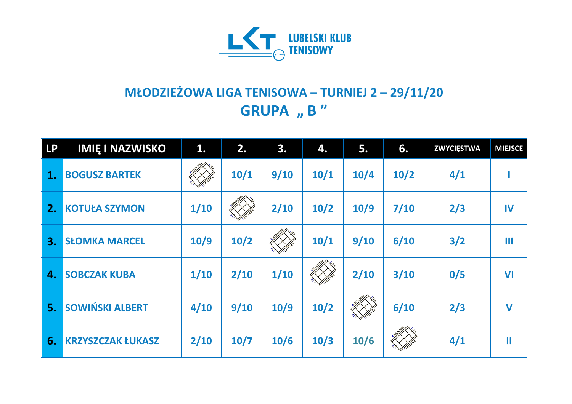

## **MŁODZIEŻOWA LIGA TENISOWA – TURNIEJ 2 – 29/11/20 GRUPA** , **B** "

| <b>LP</b> | <b>IMIĘ I NAZWISKO</b>   | 1.   | 2.   | 3.   | 4.   | 5.   | 6.   | <b>ZWYCIĘSTWA</b> | <b>MIEJSCE</b> |
|-----------|--------------------------|------|------|------|------|------|------|-------------------|----------------|
| 1.        | <b>BOGUSZ BARTEK</b>     |      | 10/1 | 9/10 | 10/1 | 10/4 | 10/2 | 4/1               |                |
| 2.        | <b>KOTUŁA SZYMON</b>     | 1/10 |      | 2/10 | 10/2 | 10/9 | 7/10 | 2/3               | IV             |
| 3.        | <b>SŁOMKA MARCEL</b>     | 10/9 | 10/2 |      | 10/1 | 9/10 | 6/10 | 3/2               | Ш              |
| 4.        | <b>SOBCZAK KUBA</b>      | 1/10 | 2/10 | 1/10 |      | 2/10 | 3/10 | 0/5               | VI             |
| 5.        | <b>SOWIŃSKI ALBERT</b>   | 4/10 | 9/10 | 10/9 | 10/2 |      | 6/10 | 2/3               | $\mathbf V$    |
| 6.        | <b>KRZYSZCZAK ŁUKASZ</b> | 2/10 | 10/7 | 10/6 | 10/3 | 10/6 |      | 4/1               | Ш              |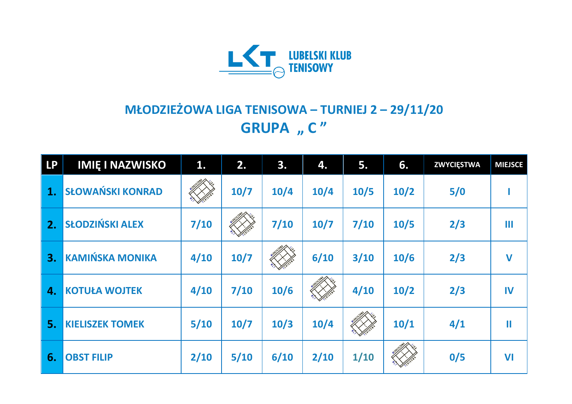

## **MŁODZIEŻOWA LIGA TENISOWA – TURNIEJ 2 – 29/11/20 GRUPA** "  $C''$

| <b>LP</b> | <b>IMIE I NAZWISKO</b>  | 1.     | 2.     | 3.     | 4.   | 5.   | 6.   | <b>ZWYCIĘSTWA</b> | <b>MIEJSCE</b> |
|-----------|-------------------------|--------|--------|--------|------|------|------|-------------------|----------------|
| 1.        | <b>SŁOWAŃSKI KONRAD</b> |        | 10/7   | $10/4$ | 10/4 | 10/5 | 10/2 | 5/0               |                |
| 2.        | <b>SŁODZIŃSKI ALEX</b>  | 7/10   |        | 7/10   | 10/7 | 7/10 | 10/5 | 2/3               | Ш              |
| 3.        | <b>KAMIŃSKA MONIKA</b>  | 4/10   | $10/7$ |        | 6/10 | 3/10 | 10/6 | 2/3               | $\mathbf V$    |
| 4.        | <b>KOTUŁA WOJTEK</b>    | 4/10   | 7/10   | 10/6   |      | 4/10 | 10/2 | 2/3               | IV             |
| 5.        | <b>KIELISZEK TOMEK</b>  | $5/10$ | $10/7$ | 10/3   | 10/4 |      | 10/1 | 4/1               | $\mathbf \Pi$  |
| 6.        | <b>OBST FILIP</b>       | 2/10   | $5/10$ | 6/10   | 2/10 | 1/10 |      | 0/5               | VI             |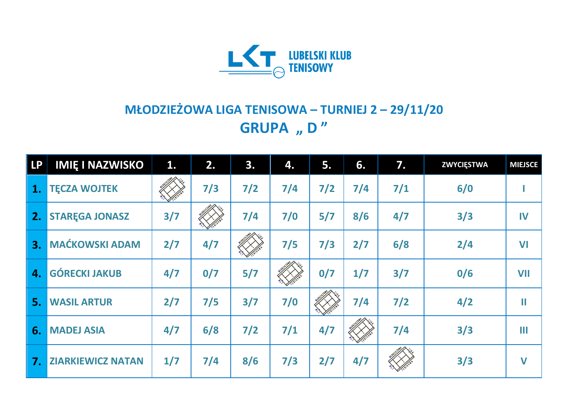

## **MŁODZIEŻOWA LIGA TENISOWA – TURNIEJ 2 – 29/11/20 GRUPA** "D"

| <b>LP</b> | <b>IMIE I NAZWISKO</b>   | 1.  | 2.  | 3.    | 4.    | 5.    | 6.    | 7.    | <b>ZWYCIĘSTWA</b> | <b>MIEJSCE</b> |
|-----------|--------------------------|-----|-----|-------|-------|-------|-------|-------|-------------------|----------------|
| 1.        | <b>TECZA WOJTEK</b>      |     | 7/3 | $7/2$ | $7/4$ | $7/2$ | $7/4$ | $7/1$ | 6/0               |                |
| 2.        | <b>STAREGA JONASZ</b>    | 3/7 |     | $7/4$ | 7/0   | 5/7   | 8/6   | 4/7   | 3/3               | IV             |
| 3.        | <b>MAĆKOWSKI ADAM</b>    | 2/7 | 4/7 |       | 7/5   | 7/3   | 2/7   | 6/8   | 2/4               | VI             |
| 4.        | <b>GÓRECKI JAKUB</b>     | 4/7 | 0/7 | 5/7   |       | 0/7   | 1/7   | 3/7   | 0/6               | <b>VII</b>     |
| 5.        | <b>WASIL ARTUR</b>       | 2/7 | 7/5 | 3/7   | 7/0   |       | 7/4   | $7/2$ | 4/2               | Ш              |
| 6.        | <b>MADEJ ASIA</b>        | 4/7 | 6/8 | $7/2$ | $7/1$ | 4/7   |       | $7/4$ | 3/3               | Ш              |
| 7.        | <b>ZIARKIEWICZ NATAN</b> | 1/7 | 7/4 | 8/6   | 7/3   | 2/7   | 4/7   |       | 3/3               | $\mathbf V$    |